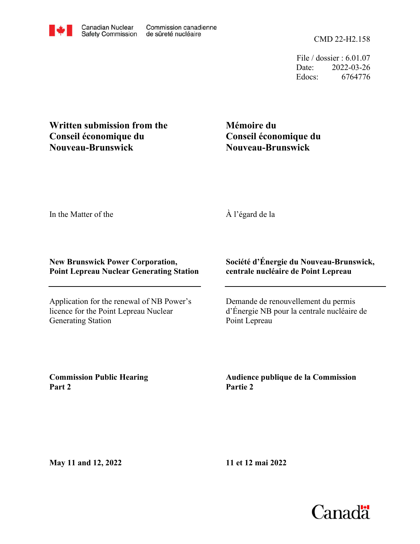File / dossier : 6.01.07 Date: 2022-03-26 Edocs: 6764776

## **Written submission from the Conseil économique du Nouveau-Brunswick**

# **Mémoire du Conseil économique du Nouveau-Brunswick**

In the Matter of the

## À l'égard de la

### **New Brunswick Power Corporation, Point Lepreau Nuclear Generating Station**

Application for the renewal of NB Power's licence for the Point Lepreau Nuclear Generating Station

### **Société d'Énergie du Nouveau-Brunswick, centrale nucléaire de Point Lepreau**

Demande de renouvellement du permis d'Énergie NB pour la centrale nucléaire de Point Lepreau

**Commission Public Hearing Part 2**

**Audience publique de la Commission Partie 2**

**May 11 and 12, 2022**

**11 et 12 mai 2022**

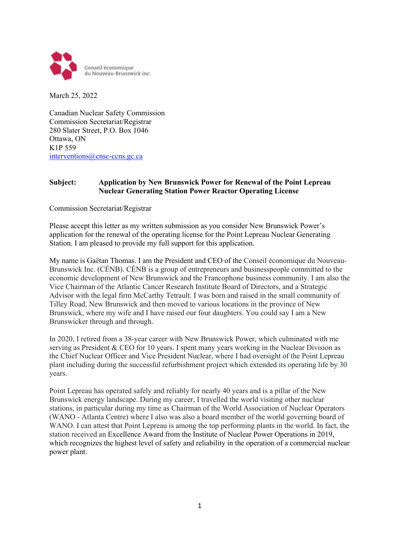

March 25, 2022

Canadian Nuclear Safety Commission Commission Secretariat/Registrar 280 Slater Street, P.O. Box 1046 Ottawa, ON K1P 559 [interventions@cnsc-ccns.gc.ca](mailto:interventions@cnsc-ccns.gc.ca)

#### **Subject: Application by New Brunswick Power for Renewal of the Point Lepreau Nuclear Generating Station Power Reactor Operating License**

Commission Secretariat/Registrar

Please accept this letter as my written submission as you consider New Brunswick Power's application for the renewal of the operating license for the Point Lepreau Nuclear Generating Station. I am pleased to provide my full support for this application.

My name is Gaëtan Thomas. I am the President and CEO of the Conseil économique du Nouveau-Brunswick Inc. (CÉNB). CÉNB is a group of entrepreneurs and businesspeople committed to the economic development of New Brunswick and the Francophone business community. I am also the Vice Chairman of the Atlantic Cancer Research Institute Board of Directors, and a Strategic Advisor with the legal firm McCarthy Tetrault. I was born and raised in the small community of Tilley Road, New Brunswick and then moved to various locations in the province of New Brunswick, where my wife and I have raised our four daughters. You could say I am a New Brunswicker through and through.

In 2020, I retired from a 38-year career with New Brunswick Power, which culminated with me serving as President & CEO for 10 years. I spent many years working in the Nuclear Division as the Chief Nuclear Officer and Vice President Nuclear, where I had oversight of the Point Lepreau plant including during the successful refurbishment project which extended its operating life by 30 years.

Point Lepreau has operated safely and reliably for nearly 40 years and is a pillar of the New Brunswick energy landscape. During my career, I travelled the world visiting other nuclear stations, in particular during my time as Chairman of the World Association of Nuclear Operators (WANO - Atlanta Centre) where I also was also a board member of the world governing board of WANO. I can attest that Point Lepreau is among the top performing plants in the world. In fact, the station received an Excellence Award from the Institute of Nuclear Power Operations in 2019, which recognizes the highest level of safety and reliability in the operation of a commercial nuclear power plant.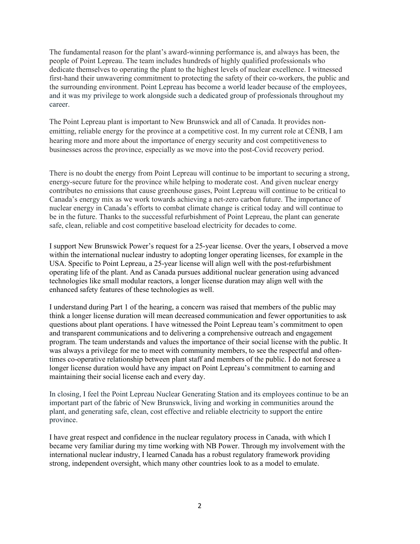The fundamental reason for the plant's award-winning performance is, and always has been, the people of Point Lepreau. The team includes hundreds of highly qualified professionals who dedicate themselves to operating the plant to the highest levels of nuclear excellence. I witnessed first-hand their unwavering commitment to protecting the safety of their co-workers, the public and the surrounding environment. Point Lepreau has become a world leader because of the employees, and it was my privilege to work alongside such a dedicated group of professionals throughout my career.

The Point Lepreau plant is important to New Brunswick and all of Canada. It provides nonemitting, reliable energy for the province at a competitive cost. In my current role at CÉNB, I am hearing more and more about the importance of energy security and cost competitiveness to businesses across the province, especially as we move into the post-Covid recovery period.

There is no doubt the energy from Point Lepreau will continue to be important to securing a strong, energy-secure future for the province while helping to moderate cost. And given nuclear energy contributes no emissions that cause greenhouse gases, Point Lepreau will continue to be critical to Canada's energy mix as we work towards achieving a net-zero carbon future. The importance of nuclear energy in Canada's efforts to combat climate change is critical today and will continue to be in the future. Thanks to the successful refurbishment of Point Lepreau, the plant can generate safe, clean, reliable and cost competitive baseload electricity for decades to come.

I support New Brunswick Power's request for a 25-year license. Over the years, I observed a move within the international nuclear industry to adopting longer operating licenses, for example in the USA. Specific to Point Lepreau, a 25-year license will align well with the post-refurbishment operating life of the plant. And as Canada pursues additional nuclear generation using advanced technologies like small modular reactors, a longer license duration may align well with the enhanced safety features of these technologies as well.

I understand during Part 1 of the hearing, a concern was raised that members of the public may think a longer license duration will mean decreased communication and fewer opportunities to ask questions about plant operations. I have witnessed the Point Lepreau team's commitment to open and transparent communications and to delivering a comprehensive outreach and engagement program. The team understands and values the importance of their social license with the public. It was always a privilege for me to meet with community members, to see the respectful and oftentimes co-operative relationship between plant staff and members of the public. I do not foresee a longer license duration would have any impact on Point Lepreau's commitment to earning and maintaining their social license each and every day.

In closing, I feel the Point Lepreau Nuclear Generating Station and its employees continue to be an important part of the fabric of New Brunswick, living and working in communities around the plant, and generating safe, clean, cost effective and reliable electricity to support the entire province.

I have great respect and confidence in the nuclear regulatory process in Canada, with which I became very familiar during my time working with NB Power. Through my involvement with the international nuclear industry, I learned Canada has a robust regulatory framework providing strong, independent oversight, which many other countries look to as a model to emulate.